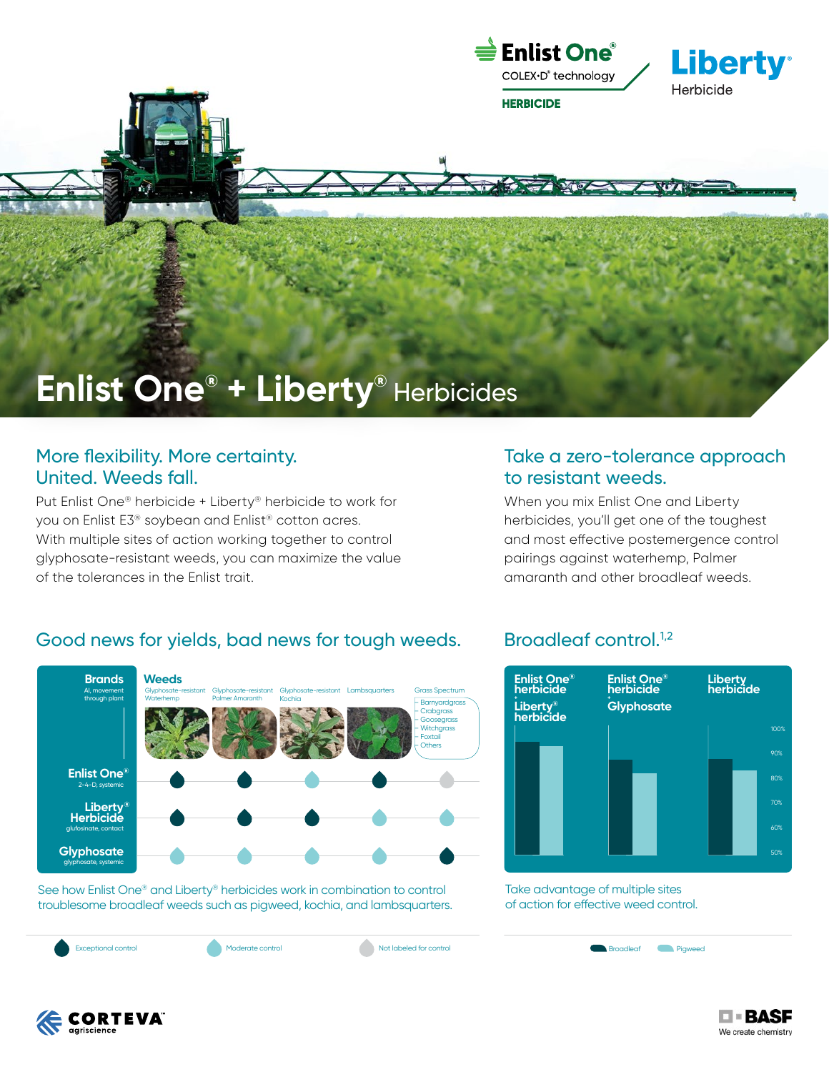

# **Enlist One® + Liberty®** Herbicides

## More flexibility. More certainty. United. Weeds fall.

Put Enlist One® herbicide + Liberty® herbicide to work for you on Enlist E3® soybean and Enlist® cotton acres. With multiple sites of action working together to control glyphosate-resistant weeds, you can maximize the value of the tolerances in the Enlist trait.

# Take a zero-tolerance approach to resistant weeds.

When you mix Enlist One and Liberty herbicides, you'll get one of the toughest and most effective postemergence control pairings against waterhemp, Palmer amaranth and other broadleaf weeds.

# Good news for yields, bad news for tough weeds. Broadleaf control.<sup>1,2</sup>



See how Enlist One® and Liberty® herbicides work in combination to control troublesome broadleaf weeds such as pigweed, kochia, and lambsquarters.

Exceptional control Moderate control Not labeled for control Not a Recorded Control Recorded Pigweed



Take advantage of multiple sites of action for effective weed control.